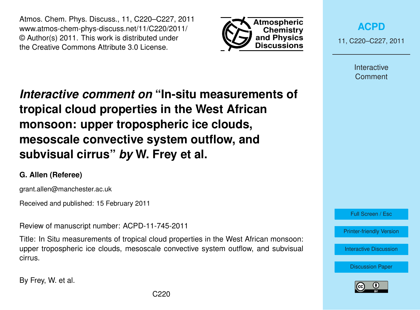Atmos. Chem. Phys. Discuss., 11, C220–C227, 2011 www.atmos-chem-phys-discuss.net/11/C220/2011/ © Author(s) 2011. This work is distributed under the Creative Commons Attribute 3.0 License.



**[ACPD](http://www.atmos-chem-phys-discuss.net)**

11, C220–C227, 2011

Interactive **Comment** 

*Interactive comment on* **"In-situ measurements of tropical cloud properties in the West African monsoon: upper tropospheric ice clouds, mesoscale convective system outflow, and subvisual cirrus"** *by* **W. Frey et al.**

# **G. Allen (Referee)**

grant.allen@manchester.ac.uk

Received and published: 15 February 2011

Review of manuscript number: ACPD-11-745-2011

Title: In Situ measurements of tropical cloud properties in the West African monsoon: upper tropospheric ice clouds, mesoscale convective system outflow, and subvisual cirrus.

By Frey, W. et al.



[Printer-friendly Version](http://www.atmos-chem-phys-discuss.net/11/C220/2011/acpd-11-C220-2011-print.pdf)

[Interactive Discussion](http://www.atmos-chem-phys-discuss.net/11/745/2011/acpd-11-745-2011-discussion.html)

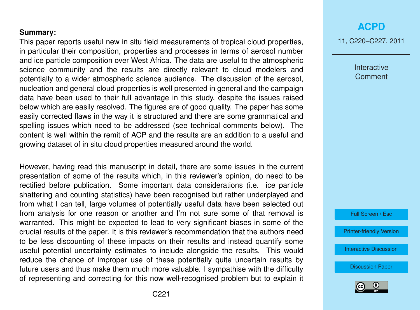### **Summary:**

This paper reports useful new in situ field measurements of tropical cloud properties, in particular their composition, properties and processes in terms of aerosol number and ice particle composition over West Africa. The data are useful to the atmospheric science community and the results are directly relevant to cloud modelers and potentially to a wider atmospheric science audience. The discussion of the aerosol, nucleation and general cloud properties is well presented in general and the campaign data have been used to their full advantage in this study, despite the issues raised below which are easily resolved. The figures are of good quality. The paper has some easily corrected flaws in the way it is structured and there are some grammatical and spelling issues which need to be addressed (see technical comments below). The content is well within the remit of ACP and the results are an addition to a useful and growing dataset of in situ cloud properties measured around the world.

However, having read this manuscript in detail, there are some issues in the current presentation of some of the results which, in this reviewer's opinion, do need to be rectified before publication. Some important data considerations (i.e. ice particle shattering and counting statistics) have been recognised but rather underplayed and from what I can tell, large volumes of potentially useful data have been selected out from analysis for one reason or another and I'm not sure some of that removal is warranted. This might be expected to lead to very significant biases in some of the crucial results of the paper. It is this reviewer's recommendation that the authors need to be less discounting of these impacts on their results and instead quantify some useful potential uncertainty estimates to include alongside the results. This would reduce the chance of improper use of these potentially quite uncertain results by future users and thus make them much more valuable. I sympathise with the difficulty of representing and correcting for this now well-recognised problem but to explain it

# **[ACPD](http://www.atmos-chem-phys-discuss.net)**

11, C220–C227, 2011

Interactive **Comment** 

Full Screen / Esc

[Printer-friendly Version](http://www.atmos-chem-phys-discuss.net/11/C220/2011/acpd-11-C220-2011-print.pdf)

[Interactive Discussion](http://www.atmos-chem-phys-discuss.net/11/745/2011/acpd-11-745-2011-discussion.html)

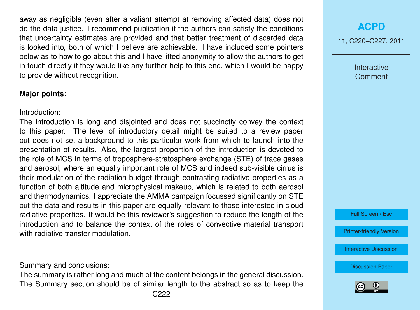away as negligible (even after a valiant attempt at removing affected data) does not do the data justice. I recommend publication if the authors can satisfy the conditions that uncertainty estimates are provided and that better treatment of discarded data is looked into, both of which I believe are achievable. I have included some pointers below as to how to go about this and I have lifted anonymity to allow the authors to get in touch directly if they would like any further help to this end, which I would be happy to provide without recognition.

### **Major points:**

Introduction:

The introduction is long and disjointed and does not succinctly convey the context to this paper. The level of introductory detail might be suited to a review paper but does not set a background to this particular work from which to launch into the presentation of results. Also, the largest proportion of the introduction is devoted to the role of MCS in terms of troposphere-stratosphere exchange (STE) of trace gases and aerosol, where an equally important role of MCS and indeed sub-visible cirrus is their modulation of the radiation budget through contrasting radiative properties as a function of both altitude and microphysical makeup, which is related to both aerosol and thermodynamics. I appreciate the AMMA campaign focussed significantly on STE but the data and results in this paper are equally relevant to those interested in cloud radiative properties. It would be this reviewer's suggestion to reduce the length of the introduction and to balance the context of the roles of convective material transport with radiative transfer modulation.

Summary and conclusions:

The summary is rather long and much of the content belongs in the general discussion. The Summary section should be of similar length to the abstract so as to keep the

# **[ACPD](http://www.atmos-chem-phys-discuss.net)**

11, C220–C227, 2011

Interactive **Comment** 

Full Screen / Esc

[Printer-friendly Version](http://www.atmos-chem-phys-discuss.net/11/C220/2011/acpd-11-C220-2011-print.pdf)

[Interactive Discussion](http://www.atmos-chem-phys-discuss.net/11/745/2011/acpd-11-745-2011-discussion.html)

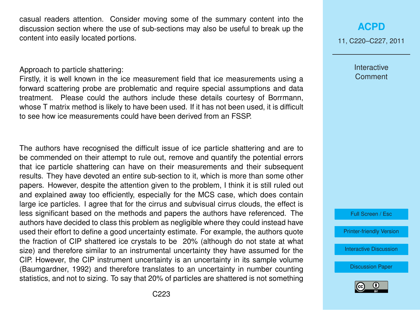casual readers attention. Consider moving some of the summary content into the discussion section where the use of sub-sections may also be useful to break up the content into easily located portions.

#### Approach to particle shattering:

Firstly, it is well known in the ice measurement field that ice measurements using a forward scattering probe are problematic and require special assumptions and data treatment. Please could the authors include these details courtesy of Borrmann, whose T matrix method is likely to have been used. If it has not been used, it is difficult to see how ice measurements could have been derived from an FSSP.

The authors have recognised the difficult issue of ice particle shattering and are to be commended on their attempt to rule out, remove and quantify the potential errors that ice particle shattering can have on their measurements and their subsequent results. They have devoted an entire sub-section to it, which is more than some other papers. However, despite the attention given to the problem, I think it is still ruled out and explained away too efficiently, especially for the MCS case, which does contain large ice particles. I agree that for the cirrus and subvisual cirrus clouds, the effect is less significant based on the methods and papers the authors have referenced. The authors have decided to class this problem as negligible where they could instead have used their effort to define a good uncertainty estimate. For example, the authors quote the fraction of CIP shattered ice crystals to be 20% (although do not state at what size) and therefore similar to an instrumental uncertainty they have assumed for the CIP. However, the CIP instrument uncertainty is an uncertainty in its sample volume (Baumgardner, 1992) and therefore translates to an uncertainty in number counting statistics, and not to sizing. To say that 20% of particles are shattered is not something

# **[ACPD](http://www.atmos-chem-phys-discuss.net)**

11, C220–C227, 2011

Interactive **Comment** 

Full Screen / Esc

[Printer-friendly Version](http://www.atmos-chem-phys-discuss.net/11/C220/2011/acpd-11-C220-2011-print.pdf)

[Interactive Discussion](http://www.atmos-chem-phys-discuss.net/11/745/2011/acpd-11-745-2011-discussion.html)

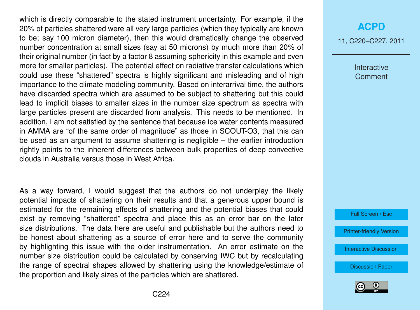which is directly comparable to the stated instrument uncertainty. For example, if the 20% of particles shattered were all very large particles (which they typically are known to be; say 100 micron diameter), then this would dramatically change the observed number concentration at small sizes (say at 50 microns) by much more than 20% of their original number (in fact by a factor 8 assuming sphericity in this example and even more for smaller particles). The potential effect on radiative transfer calculations which could use these "shattered" spectra is highly significant and misleading and of high importance to the climate modeling community. Based on interarrival time, the authors have discarded spectra which are assumed to be subject to shattering but this could lead to implicit biases to smaller sizes in the number size spectrum as spectra with large particles present are discarded from analysis. This needs to be mentioned. In addition, I am not satisfied by the sentence that because ice water contents measured in AMMA are "of the same order of magnitude" as those in SCOUT-O3, that this can be used as an argument to assume shattering is negligible – the earlier introduction rightly points to the inherent differences between bulk properties of deep convective clouds in Australia versus those in West Africa.

As a way forward, I would suggest that the authors do not underplay the likely potential impacts of shattering on their results and that a generous upper bound is estimated for the remaining effects of shattering and the potential biases that could exist by removing "shattered" spectra and place this as an error bar on the later size distributions. The data here are useful and publishable but the authors need to be honest about shattering as a source of error here and to serve the community by highlighting this issue with the older instrumentation. An error estimate on the number size distribution could be calculated by conserving IWC but by recalculating the range of spectral shapes allowed by shattering using the knowledge/estimate of the proportion and likely sizes of the particles which are shattered.

## **[ACPD](http://www.atmos-chem-phys-discuss.net)**

11, C220–C227, 2011

Interactive Comment

Full Screen / Esc

[Printer-friendly Version](http://www.atmos-chem-phys-discuss.net/11/C220/2011/acpd-11-C220-2011-print.pdf)

[Interactive Discussion](http://www.atmos-chem-phys-discuss.net/11/745/2011/acpd-11-745-2011-discussion.html)

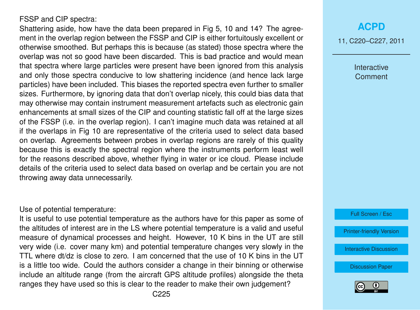### FSSP and CIP spectra:

Shattering aside, how have the data been prepared in Fig 5, 10 and 14? The agreement in the overlap region between the FSSP and CIP is either fortuitously excellent or otherwise smoothed. But perhaps this is because (as stated) those spectra where the overlap was not so good have been discarded. This is bad practice and would mean that spectra where large particles were present have been ignored from this analysis and only those spectra conducive to low shattering incidence (and hence lack large particles) have been included. This biases the reported spectra even further to smaller sizes. Furthermore, by ignoring data that don't overlap nicely, this could bias data that may otherwise may contain instrument measurement artefacts such as electronic gain enhancements at small sizes of the CIP and counting statistic fall off at the large sizes of the FSSP (i.e. in the overlap region). I can't imagine much data was retained at all if the overlaps in Fig 10 are representative of the criteria used to select data based on overlap. Agreements between probes in overlap regions are rarely of this quality because this is exactly the spectral region where the instruments perform least well for the reasons described above, whether flying in water or ice cloud. Please include details of the criteria used to select data based on overlap and be certain you are not throwing away data unnecessarily.

### Use of potential temperature:

It is useful to use potential temperature as the authors have for this paper as some of the altitudes of interest are in the LS where potential temperature is a valid and useful measure of dynamical processes and height. However, 10 K bins in the UT are still very wide (i.e. cover many km) and potential temperature changes very slowly in the TTL where dt/dz is close to zero. I am concerned that the use of 10 K bins in the UT is a little too wide. Could the authors consider a change in their binning or otherwise include an altitude range (from the aircraft GPS altitude profiles) alongside the theta ranges they have used so this is clear to the reader to make their own judgement?

## **[ACPD](http://www.atmos-chem-phys-discuss.net)**

11, C220–C227, 2011

Interactive **Comment** 

Full Screen / Esc

[Printer-friendly Version](http://www.atmos-chem-phys-discuss.net/11/C220/2011/acpd-11-C220-2011-print.pdf)

[Interactive Discussion](http://www.atmos-chem-phys-discuss.net/11/745/2011/acpd-11-745-2011-discussion.html)

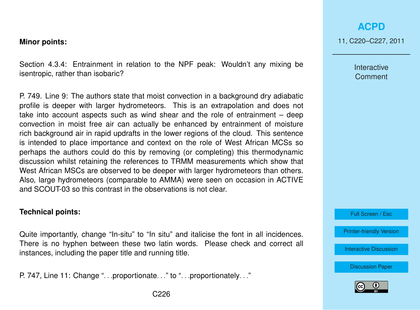#### **Minor points:**

Section 4.3.4: Entrainment in relation to the NPF peak: Wouldn't any mixing be isentropic, rather than isobaric?

P. 749. Line 9: The authors state that moist convection in a background dry adiabatic profile is deeper with larger hydrometeors. This is an extrapolation and does not take into account aspects such as wind shear and the role of entrainment – deep convection in moist free air can actually be enhanced by entrainment of moisture rich background air in rapid updrafts in the lower regions of the cloud. This sentence is intended to place importance and context on the role of West African MCSs so perhaps the authors could do this by removing (or completing) this thermodynamic discussion whilst retaining the references to TRMM measurements which show that West African MSCs are observed to be deeper with larger hydrometeors than others. Also, large hydrometeors (comparable to AMMA) were seen on occasion in ACTIVE and SCOUT-03 so this contrast in the observations is not clear.

#### **Technical points:**

Quite importantly, change "In-situ" to "In situ" and italicise the font in all incidences. There is no hyphen between these two latin words. Please check and correct all instances, including the paper title and running title.

P. 747, Line 11: Change "... proportionate..." to "... proportionately..."

Interactive **Comment** 

Full Screen / Esc

[Printer-friendly Version](http://www.atmos-chem-phys-discuss.net/11/C220/2011/acpd-11-C220-2011-print.pdf)

[Interactive Discussion](http://www.atmos-chem-phys-discuss.net/11/745/2011/acpd-11-745-2011-discussion.html)